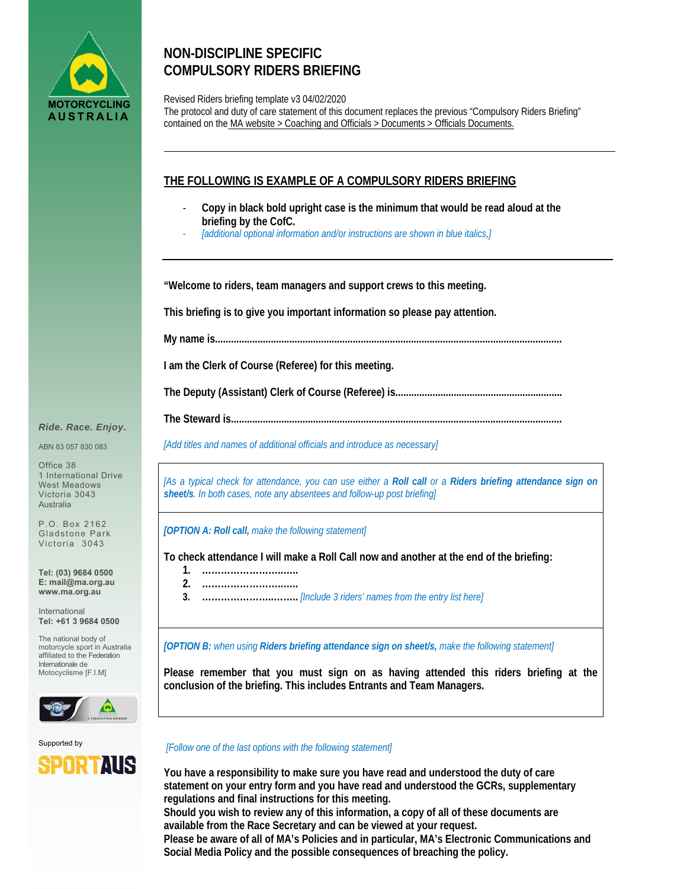

# **NON-DISCIPLINE SPECIFIC COMPULSORY RIDERS BRIEFING**

Revised Riders briefing template v3 04/02/2020 The protocol and duty of care statement of this document replaces the previous "Compulsory Riders Briefing" contained on the MA website > Coaching and Officials > Documents > Officials Documents.

## **THE FOLLOWING IS EXAMPLE OF A COMPULSORY RIDERS BRIEFING**

- *-* **Copy in black bold upright case is the minimum that would be read aloud at the briefing by the CofC.**
- *- [additional optional information and/or instructions are shown in blue italics,]*

**"Welcome to riders, team managers and support crews to this meeting.** 

**This briefing is to give you important information so please pay attention.** 

**My name is...................................................................................................................................** 

**I am the Clerk of Course (Referee) for this meeting.** 

**The Deputy (Assistant) Clerk of Course (Referee) is...............................................................** 

**The Steward is.............................................................................................................................**

*[Add titles and names of additional officials and introduce as necessary]* 

*[As a typical check for attendance, you can use either a Roll call or a Riders briefing attendance sign on sheet/s. In both cases, note any absentees and follow-up post briefing]* 

*[OPTION A: Roll call, make the following statement]* 

**To check attendance I will make a Roll Call now and another at the end of the briefing:** 

- **1. ……………………..…..**
- **2. ……………………..…..**
- **3. …………………..……..** *[Include 3 riders' names from the entry list here]*

*[OPTION B: when using Riders briefing attendance sign on sheet/s, make the following statement]* 

**Please remember that you must sign on as having attended this riders briefing at the conclusion of the briefing. This includes Entrants and Team Managers.**





#### *[Follow one of the last options with the following statement]*

**You have a responsibility to make sure you have read and understood the duty of care statement on your entry form and you have read and understood the GCRs, supplementary regulations and final instructions for this meeting.** 

**Should you wish to review any of this information, a copy of all of these documents are available from the Race Secretary and can be viewed at your request.** 

**Please be aware of all of MA's Policies and in particular, MA's Electronic Communications and Social Media Policy and the possible consequences of breaching the policy.** 

#### *Ride. Race. Enjoy.*

ABN 83 057 830 083

Office 38 1 International Drive West Meadows Victoria 3043 Australia

P.O. Box 2162 Gladstone Park Victoria 3043

**Tel: (03) 9684 0500 E: mail@ma.org.au www.ma.org.au** 

International **Tel: +61 3 9684 0500** 

The national body of motorcycle sport in Australia affiliated to the Federation Internationale de Motocyclisme [F.I.M]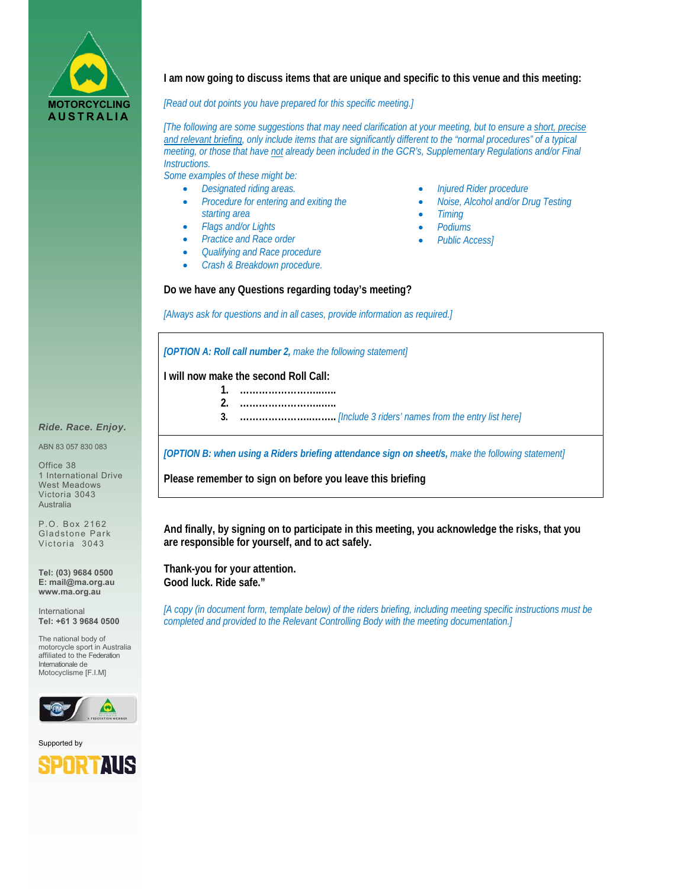

**I am now going to discuss items that are unique and specific to this venue and this meeting:** 

*[Read out dot points you have prepared for this specific meeting.]* 

*[The following are some suggestions that may need clarification at your meeting, but to ensure a short, precise and relevant briefing, only include items that are significantly different to the "normal procedures" of a typical meeting, or those that have not already been included in the GCR's, Supplementary Regulations and/or Final Instructions.* 

*Some examples of these might be:* 

- *Designated riding areas.*
- *Procedure for entering and exiting the starting area*
- *Flags and/or Lights*
- *Practice and Race order*
- *Qualifying and Race procedure*
- *Crash & Breakdown procedure.*
- *Injured Rider procedure*
- *Noise, Alcohol and/or Drug Testing*
- *Timing*
- *Podiums*
- *Public Access]*

#### **Do we have any Questions regarding today's meeting?**

*[Always ask for questions and in all cases, provide information as required.]* 

*[OPTION A: Roll call number 2, make the following statement]* 

**I will now make the second Roll Call:** 

- **1. ……………………..…..**
- **2. ……………………..…..**
	- **3. …………………..……..** *[Include 3 riders' names from the entry list here]*

*[OPTION B: when using a Riders briefing attendance sign on sheet/s, make the following statement]* 

**Please remember to sign on before you leave this briefing**

**And finally, by signing on to participate in this meeting, you acknowledge the risks, that you are responsible for yourself, and to act safely.** 

**Thank-you for your attention. Good luck. Ride safe."** 

*[A copy (in document form, template below) of the riders briefing, including meeting specific instructions must be completed and provided to the Relevant Controlling Body with the meeting documentation.]* 

### *Ride. Race. Enjoy.*

ABN 83 057 830 083

Office 38 1 International Drive West Meadows Victoria 3043 Australia

P.O. Box 2162 Gladstone Park Victoria 3043

**Tel: (03) 9684 0500 E: mail@ma.org.au www.ma.org.au** 

International **Tel: +61 3 9684 0500** 

The national body of motorcycle sport in Australia affiliated to the Federation Internationale de Motocyclisme [F.I.M]



Supported by